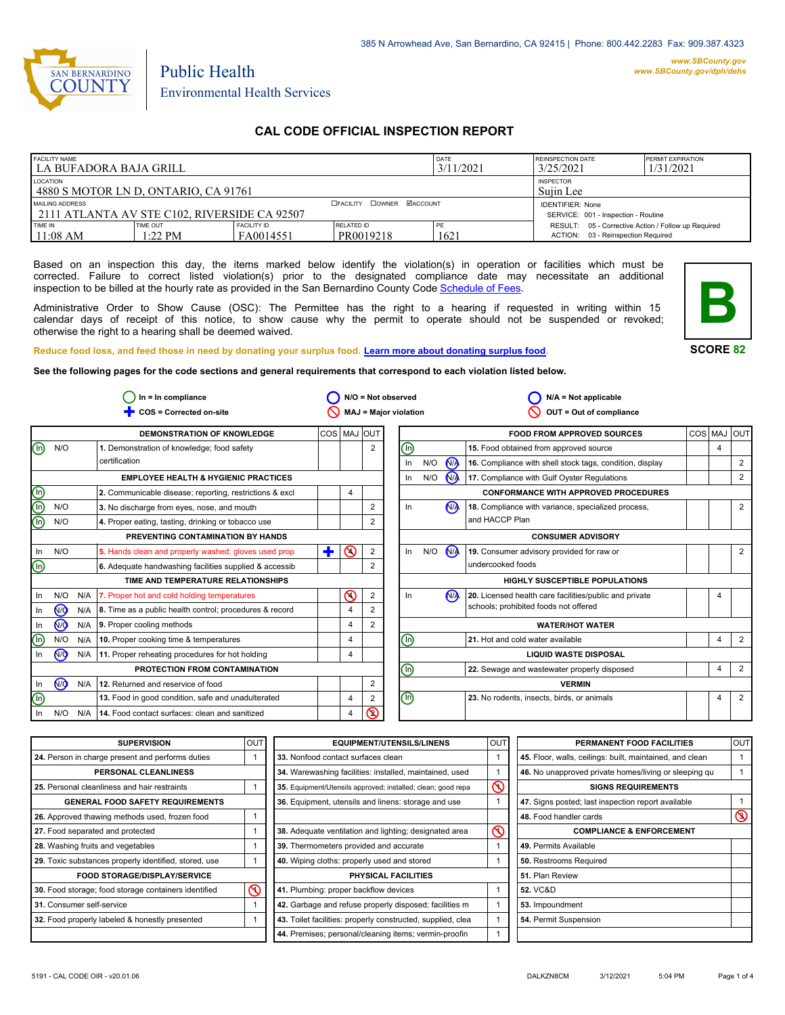

# Environmental Health Services

Public Health

### **CAL CODE OFFICIAL INSPECTION REPORT**

| <b>FACILITY NAME</b><br>l LA BUFADORA BAJA GRILL                |                       |                                 | DATE<br>3/11/2021                | REINSPECTION DATE<br>3/25/2021 | <b>PERMIT EXPIRATION</b><br>1/31/2021                                                     |  |
|-----------------------------------------------------------------|-----------------------|---------------------------------|----------------------------------|--------------------------------|-------------------------------------------------------------------------------------------|--|
| LOCATION<br>4880 S MOTOR LN D, ONTARIO, CA 91761                |                       |                                 | <b>INSPECTOR</b><br>Suiin Lee    |                                |                                                                                           |  |
| MAILING ADDRESS<br>2111 ATLANTA AV STE C102, RIVERSIDE CA 92507 |                       |                                 | <b>CEACILITY COWNER MACCOUNT</b> |                                | <b>IDENTIFIER: None</b><br>SERVICE: 001 - Inspection - Routine                            |  |
| TIME IN<br>$11:08$ AM                                           | TIME OUT<br>$1:22$ PM | <b>FACILITY ID</b><br>FA0014551 | <b>RELATED ID</b><br>PR0019218   | PE<br>1621                     | RESULT: 05 - Corrective Action / Follow up Required<br>ACTION: 03 - Reinspection Required |  |

Based on an inspection this day, the items marked below identify the violation(s) in operation or facilities which must be corrected. Failure to correct listed violation(s) prior to the designated compliance date may necessitate an additional inspection to be billed at the hourly rate as provided in the San Bernardino County Co[de Schedule of Fees.](http://www.amlegal.com/nxt/gateway.dll/California/sanbernardinocounty_ca/title1governmentandadministration/division6countyfees/chapter2scheduleoffees?f=templates$fn=default.htm$3.0$vid=amlegal:sanbernardinocounty_ca$anc=JD_16.0213B)

Administrative Order to Show Cause (OSC): The Permittee has the right to a hearing if requested in writing within 15 calendar days of receipt of this notice, to show cause why the permit to operate should not be suspended or revoked; otherwise the right to a hearing shall be deemed waived.



### **SCORE 82**

**Reduce food loss, and feed those in need by donating your surplus f[ood. Learn more about donating surplus food.](http://wp.sbcounty.gov/dph/programs/ehs/food-facilities/) See the following pages for the code sections and general requirements that correspond to each violation listed below.**

|                                | $In = In$ compliance |     |                                                         | $N/O = Not observed$ |                |                |                              | $N/A = Not$ applicable |                      |                                                          |     |                |                |
|--------------------------------|----------------------|-----|---------------------------------------------------------|----------------------|----------------|----------------|------------------------------|------------------------|----------------------|----------------------------------------------------------|-----|----------------|----------------|
|                                |                      |     | COS = Corrected on-site                                 |                      |                |                | <b>MAJ = Major violation</b> |                        |                      | OUT = Out of compliance                                  |     |                |                |
|                                |                      |     | DEMONSTRATION OF KNOWLEDGE                              | COS   MAJ            |                | <b>IOUT</b>    |                              |                        |                      | <b>FOOD FROM APPROVED SOURCES</b>                        | COS | MAJ            | loutl          |
| $\textcircled{\scriptsize{1}}$ | N/O                  |     | 1. Demonstration of knowledge; food safety              |                      |                | $\overline{2}$ | (n)                          |                        |                      | 15. Food obtained from approved source                   |     | $\overline{4}$ |                |
|                                |                      |     | certification                                           |                      |                |                | In                           | N/O                    | N <sub>A</sub>       | 16. Compliance with shell stock tags, condition, display |     |                | 2              |
|                                |                      |     | <b>EMPLOYEE HEALTH &amp; HYGIENIC PRACTICES</b>         |                      |                |                | In                           | N/O                    | <b>N<sub>A</sub></b> | 17. Compliance with Gulf Oyster Regulations              |     |                | 2              |
| $\bigcirc$                     |                      |     | 2. Communicable disease; reporting, restrictions & excl |                      | 4              |                |                              |                        |                      | <b>CONFORMANCE WITH APPROVED PROCEDURES</b>              |     |                |                |
| ⊕                              | N/O                  |     | 3. No discharge from eyes, nose, and mouth              |                      |                | 2              | In.                          |                        | N <sub>A</sub>       | 18. Compliance with variance, specialized process,       |     |                | 2              |
| $\binom{m}{k}$                 | N/O                  |     | 4. Proper eating, tasting, drinking or tobacco use      |                      |                | 2              |                              |                        |                      | and HACCP Plan                                           |     |                |                |
|                                |                      |     | PREVENTING CONTAMINATION BY HANDS                       |                      |                |                |                              |                        |                      | <b>CONSUMER ADVISORY</b>                                 |     |                |                |
| In                             | N/O                  |     | 5. Hands clean and properly washed; gloves used prop    | ÷                    | $\mathcal{O}$  | 2              | In                           | N/O                    | <b>NA</b>            | 19. Consumer advisory provided for raw or                |     |                | 2              |
| $\bigcirc$                     |                      |     | 6. Adequate handwashing facilities supplied & accessib  |                      |                | 2              |                              |                        |                      | undercooked foods                                        |     |                |                |
|                                |                      |     | TIME AND TEMPERATURE RELATIONSHIPS                      |                      |                |                |                              |                        |                      | <b>HIGHLY SUSCEPTIBLE POPULATIONS</b>                    |     |                |                |
| ln.                            | N/O                  | N/A | 7. Proper hot and cold holding temperatures             |                      | ⋒              | 2              | In                           |                        | N <sub>1</sub>       | 20. Licensed health care facilities/public and private   |     | 4              |                |
| In.                            | (ਔ                   | N/A | 8. Time as a public health control; procedures & record |                      | 4              | 2              |                              |                        |                      | schools; prohibited foods not offered                    |     |                |                |
| In                             | N <sub>O</sub>       | N/A | 9. Proper cooling methods                               |                      | $\overline{4}$ | $\overline{2}$ |                              |                        |                      | <b>WATER/HOT WATER</b>                                   |     |                |                |
| $(\infty)$                     | N/O                  | N/A | 10. Proper cooking time & temperatures                  |                      | $\overline{4}$ |                | (n)                          |                        |                      | 21. Hot and cold water available                         |     | 4              | $\overline{2}$ |
| In.                            | N <sub>O</sub>       |     | N/A   11. Proper reheating procedures for hot holding   |                      | 4              |                |                              |                        |                      | <b>LIQUID WASTE DISPOSAL</b>                             |     |                |                |
|                                |                      |     | PROTECTION FROM CONTAMINATION                           |                      |                |                | (m)                          |                        |                      | 22. Sewage and wastewater properly disposed              |     | $\overline{4}$ | 2              |
| In                             | N <sub>O</sub>       | N/A | 12. Returned and reservice of food                      |                      |                | $\overline{2}$ |                              |                        |                      | <b>VERMIN</b>                                            |     |                |                |
| (n)                            |                      |     | 13. Food in good condition, safe and unadulterated      |                      | 4              | 2              | $\bm{\mathbb{\Theta}}$       |                        |                      | 23. No rodents, insects, birds, or animals               |     | 4              | 2              |
| In                             | N/O                  | N/A | 14. Food contact surfaces: clean and sanitized          |                      | 4              | $\circledcirc$ |                              |                        |                      |                                                          |     |                |                |

| <b>SUPERVISION</b>                                    | <b>OUT</b> | <b>EQUIPMENT/UTENSILS/LINENS</b>                             | OU <sub>1</sub> | PERMANENT FOOD FACILITIES                                | lout           |
|-------------------------------------------------------|------------|--------------------------------------------------------------|-----------------|----------------------------------------------------------|----------------|
| 24. Person in charge present and performs duties      |            | 33. Nonfood contact surfaces clean                           |                 | 45. Floor, walls, ceilings: built, maintained, and clean |                |
| PERSONAL CLEANLINESS                                  |            | 34. Warewashing facilities: installed, maintained, used      |                 | 46. No unapproved private homes/living or sleeping gu    |                |
| 25. Personal cleanliness and hair restraints          |            | 35. Equipment/Utensils approved; installed; clean; good repa |                 | <b>SIGNS REQUIREMENTS</b>                                |                |
| <b>GENERAL FOOD SAFETY REQUIREMENTS</b>               |            | 36. Equipment, utensils and linens: storage and use          |                 | 47. Signs posted; last inspection report available       |                |
| 26. Approved thawing methods used, frozen food        |            |                                                              |                 | 48. Food handler cards                                   | $\circledcirc$ |
| 27. Food separated and protected                      |            | 38. Adequate ventilation and lighting; designated area       | G               | <b>COMPLIANCE &amp; ENFORCEMENT</b>                      |                |
| 28. Washing fruits and vegetables                     |            | 39. Thermometers provided and accurate                       |                 | 49. Permits Available                                    |                |
| 29. Toxic substances properly identified, stored, use |            | 40. Wiping cloths: properly used and stored                  |                 | 50. Restrooms Required                                   |                |
| <b>FOOD STORAGE/DISPLAY/SERVICE</b>                   |            | <b>PHYSICAL FACILITIES</b>                                   |                 | 51. Plan Review                                          |                |
| 30. Food storage; food storage containers identified  | $\infty$   | 41. Plumbing: proper backflow devices                        |                 | 52. VC&D                                                 |                |
| 31. Consumer self-service                             |            | 42. Garbage and refuse properly disposed; facilities m       |                 | 53. Impoundment                                          |                |
| 32. Food properly labeled & honestly presented        |            | 43. Toilet facilities: properly constructed, supplied, clea  |                 | 54. Permit Suspension                                    |                |
|                                                       |            | 44. Premises; personal/cleaning items; vermin-proofin        |                 |                                                          |                |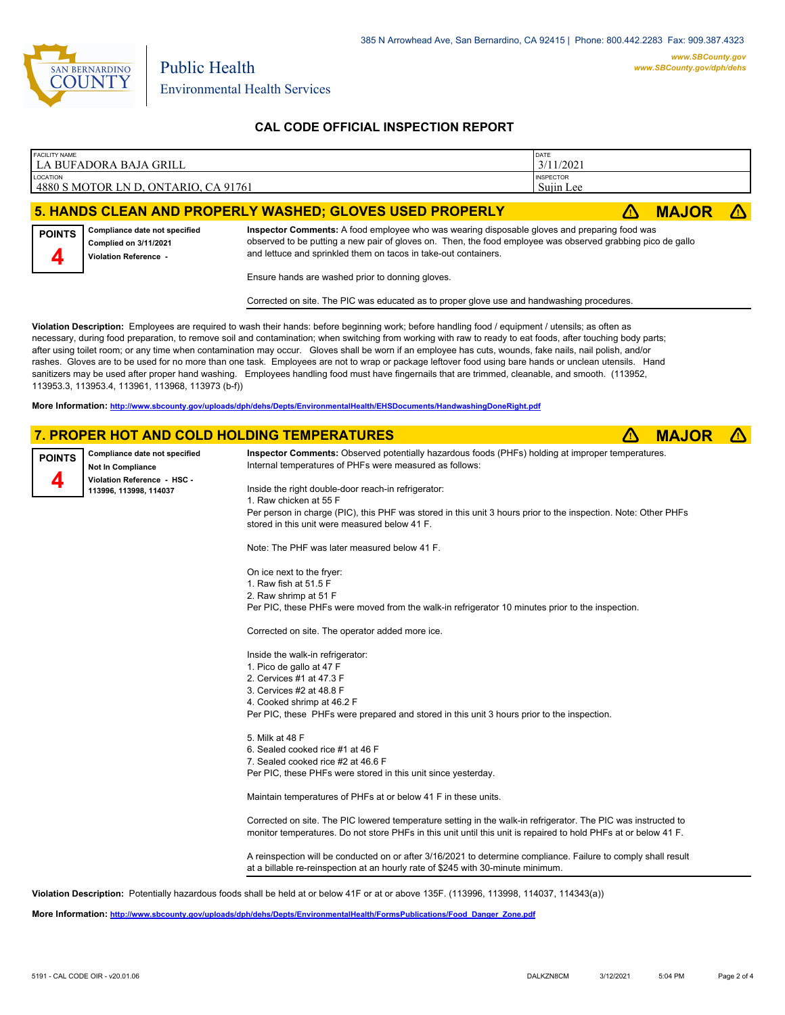

### **CAL CODE OFFICIAL INSPECTION REPORT**

| <b>FACILITY NAME</b><br>l LA BUFADORA BAJA GRILL         | <b>DATE</b><br>3/11/2021      |              |  |
|----------------------------------------------------------|-------------------------------|--------------|--|
| LOCATION<br>4880 S MOTOR LN D, ONTARIO, CA 91761         | <b>INSPECTOR</b><br>Suiin Lee |              |  |
| 5. HANDS CLEAN AND PROPERLY WASHED; GLOVES USED PROPERLY |                               | <b>MAJOR</b> |  |

#### **Compliance date not specified Complied on 3/11/2021 POINTS**



**Inspector Comments:** A food employee who was wearing disposable gloves and preparing food was observed to be putting a new pair of gloves on. Then, the food employee was observed grabbing pico de gallo and lettuce and sprinkled them on tacos in take-out containers.

Ensure hands are washed prior to donning gloves.

Corrected on site. The PIC was educated as to proper glove use and handwashing procedures.

**Violation Description:** Employees are required to wash their hands: before beginning work; before handling food / equipment / utensils; as often as necessary, during food preparation, to remove soil and contamination; when switching from working with raw to ready to eat foods, after touching body parts; after using toilet room; or any time when contamination may occur. Gloves shall be worn if an employee has cuts, wounds, fake nails, nail polish, and/or rashes. Gloves are to be used for no more than one task. Employees are not to wrap or package leftover food using bare hands or unclean utensils. Hand sanitizers may be used after proper hand washing. Employees handling food must have fingernails that are trimmed, cleanable, and smooth. (113952, 113953.3, 113953.4, 113961, 113968, 113973 (b-f))

**More Information: <http://www.sbcounty.gov/uploads/dph/dehs/Depts/EnvironmentalHealth/EHSDocuments/HandwashingDoneRight.pdf>**

### **7. PROPER HOT AND COLD HOLDING TEMPERATURES** ê**! MAJOR** ê**!**



Maintain temperatures of PHFs at or below 41 F in these units.

Corrected on site. The PIC lowered temperature setting in the walk-in refrigerator. The PIC was instructed to monitor temperatures. Do not store PHFs in this unit until this unit is repaired to hold PHFs at or below 41 F.

A reinspection will be conducted on or after 3/16/2021 to determine compliance. Failure to comply shall result at a billable re-reinspection at an hourly rate of \$245 with 30-minute minimum.

**Violation Description:** Potentially hazardous foods shall be held at or below 41F or at or above 135F. (113996, 113998, 114037, 114343(a))

**More Information: [http://www.sbcounty.gov/uploads/dph/dehs/Depts/EnvironmentalHealth/FormsPublications/Food\\_Danger\\_Zone.pdf](http://www.sbcounty.gov/uploads/dph/dehs/Depts/EnvironmentalHealth/FormsPublications/Food_Danger_Zone.pdf)**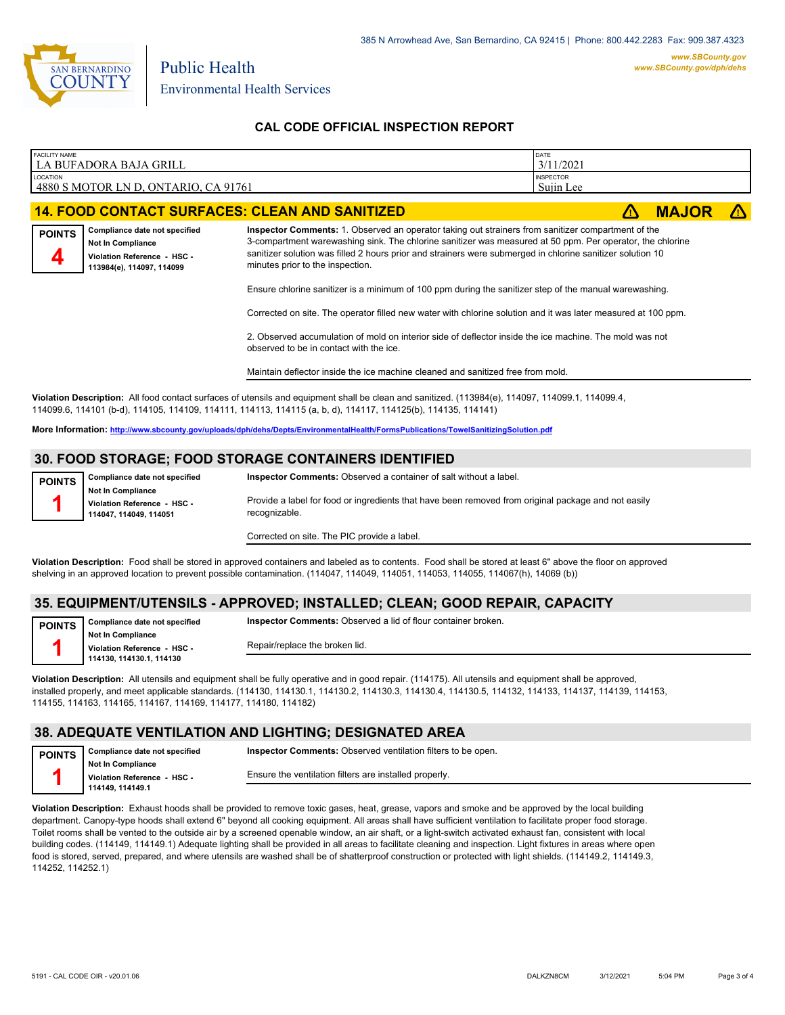

### **CAL CODE OFFICIAL INSPECTION REPORT**

| <b>FACILITY NAME</b>                                                                                                                                                                                                                                             | LA BUFADORA BAJA GRILL                                                                                                | DATE<br>3/11/2021                                                                                                                                                                                                                                                                                                                                                 |  |              |  |
|------------------------------------------------------------------------------------------------------------------------------------------------------------------------------------------------------------------------------------------------------------------|-----------------------------------------------------------------------------------------------------------------------|-------------------------------------------------------------------------------------------------------------------------------------------------------------------------------------------------------------------------------------------------------------------------------------------------------------------------------------------------------------------|--|--------------|--|
| <b>LOCATION</b>                                                                                                                                                                                                                                                  | 4880 S MOTOR LN D. ONTARIO. CA 91761                                                                                  | <b>INSPECTOR</b><br>Sujin Lee                                                                                                                                                                                                                                                                                                                                     |  |              |  |
|                                                                                                                                                                                                                                                                  |                                                                                                                       | <b>14. FOOD CONTACT SURFACES: CLEAN AND SANITIZED</b>                                                                                                                                                                                                                                                                                                             |  | <b>MAJOR</b> |  |
| <b>POINTS</b>                                                                                                                                                                                                                                                    | Compliance date not specified<br><b>Not In Compliance</b><br>Violation Reference - HSC -<br>113984(e), 114097, 114099 | Inspector Comments: 1. Observed an operator taking out strainers from sanitizer compartment of the<br>3-compartment warewashing sink. The chlorine sanitizer was measured at 50 ppm. Per operator, the chlorine<br>sanitizer solution was filled 2 hours prior and strainers were submerged in chlorine sanitizer solution 10<br>minutes prior to the inspection. |  |              |  |
|                                                                                                                                                                                                                                                                  |                                                                                                                       | Ensure chlorine sanitizer is a minimum of 100 ppm during the sanitizer step of the manual warewashing.                                                                                                                                                                                                                                                            |  |              |  |
|                                                                                                                                                                                                                                                                  |                                                                                                                       | Corrected on site. The operator filled new water with chlorine solution and it was later measured at 100 ppm.                                                                                                                                                                                                                                                     |  |              |  |
|                                                                                                                                                                                                                                                                  |                                                                                                                       | 2. Observed accumulation of mold on interior side of deflector inside the ice machine. The mold was not<br>observed to be in contact with the ice.                                                                                                                                                                                                                |  |              |  |
|                                                                                                                                                                                                                                                                  |                                                                                                                       | Maintain deflector inside the ice machine cleaned and sanitized free from mold.                                                                                                                                                                                                                                                                                   |  |              |  |
| Violation Description: All food contact surfaces of utensils and equipment shall be clean and sanitized. (113984(e), 114097, 114099.1, 114099.4,<br>114099.6, 114101 (b-d), 114105, 114109, 114111, 114113, 114115 (a, b, d), 114117, 114125(b), 114135, 114141) |                                                                                                                       |                                                                                                                                                                                                                                                                                                                                                                   |  |              |  |

**More Information: <http://www.sbcounty.gov/uploads/dph/dehs/Depts/EnvironmentalHealth/FormsPublications/TowelSanitizingSolution.pdf>**

### **30. FOOD STORAGE; FOOD STORAGE CONTAINERS IDENTIFIED**

| <b>POINTS</b> | Compliance date not specified                                                   | Inspector Comments: Observed a container of salt without a label.                                                    |
|---------------|---------------------------------------------------------------------------------|----------------------------------------------------------------------------------------------------------------------|
|               | <b>Not In Compliance</b><br>Violation Reference - HSC -<br>114047.114049.114051 | Provide a label for food or ingredients that have been removed from original package and not easily<br>recognizable. |
|               |                                                                                 | Corrected on site. The PIC provide a label.                                                                          |

**Violation Description:** Food shall be stored in approved containers and labeled as to contents. Food shall be stored at least 6" above the floor on approved shelving in an approved location to prevent possible contamination. (114047, 114049, 114051, 114053, 114055, 114067(h), 14069 (b))

#### **35. EQUIPMENT/UTENSILS - APPROVED; INSTALLED; CLEAN; GOOD REPAIR, CAPACITY**

**Compliance date not specified Not In Compliance POINTS 1**

**Inspector Comments:** Observed a lid of flour container broken.

**Violation Reference - HSC - 114130, 114130.1, 114130**

Repair/replace the broken lid.

**Violation Description:** All utensils and equipment shall be fully operative and in good repair. (114175). All utensils and equipment shall be approved, installed properly, and meet applicable standards. (114130, 114130.1, 114130.2, 114130.3, 114130.4, 114130.5, 114132, 114133, 114137, 114139, 114153, 114155, 114163, 114165, 114167, 114169, 114177, 114180, 114182)

## **38. ADEQUATE VENTILATION AND LIGHTING; DESIGNATED AREA**

**POINTS 1**

**Not In Compliance Violation Reference - HSC -** 

**Compliance date not specified**

**Inspector Comments:** Observed ventilation filters to be open.

**114149, 114149.1**

Ensure the ventilation filters are installed properly.

**Violation Description:** Exhaust hoods shall be provided to remove toxic gases, heat, grease, vapors and smoke and be approved by the local building department. Canopy-type hoods shall extend 6" beyond all cooking equipment. All areas shall have sufficient ventilation to facilitate proper food storage. Toilet rooms shall be vented to the outside air by a screened openable window, an air shaft, or a light-switch activated exhaust fan, consistent with local building codes. (114149, 114149.1) Adequate lighting shall be provided in all areas to facilitate cleaning and inspection. Light fixtures in areas where open food is stored, served, prepared, and where utensils are washed shall be of shatterproof construction or protected with light shields. (114149.2, 114149.3, 114252, 114252.1)